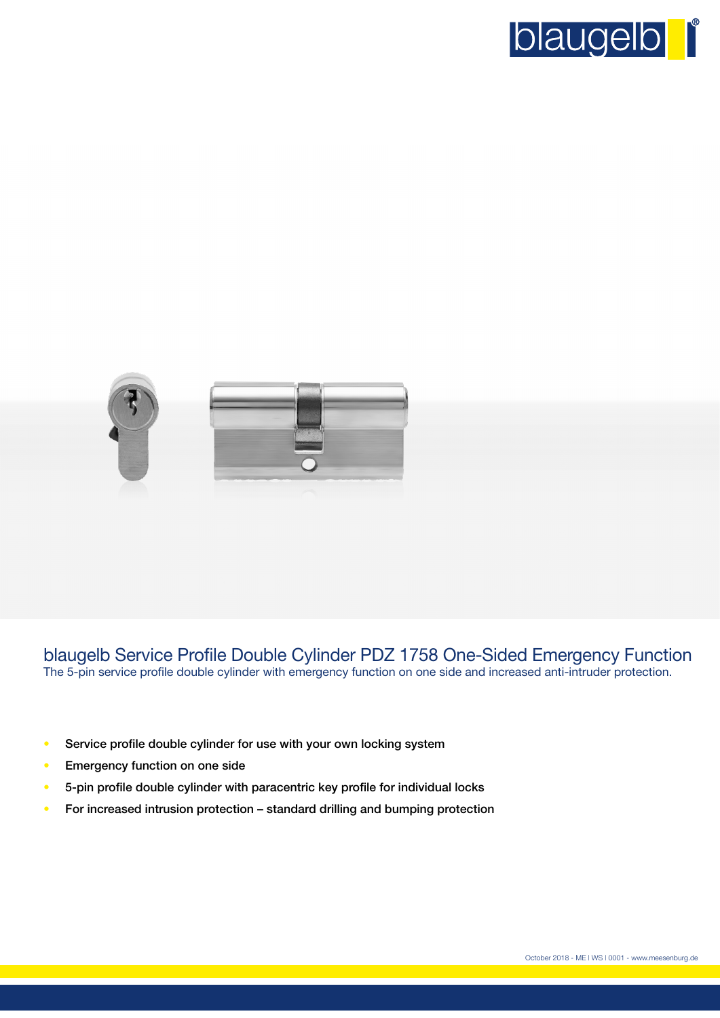



blaugelb Service Profile Double Cylinder PDZ 1758 One-Sided Emergency Function The 5-pin service profile double cylinder with emergency function on one side and increased anti-intruder protection.

- Service profile double cylinder for use with your own locking system
- Emergency function on one side
- 5-pin profile double cylinder with paracentric key profile for individual locks
- For increased intrusion protection standard drilling and bumping protection